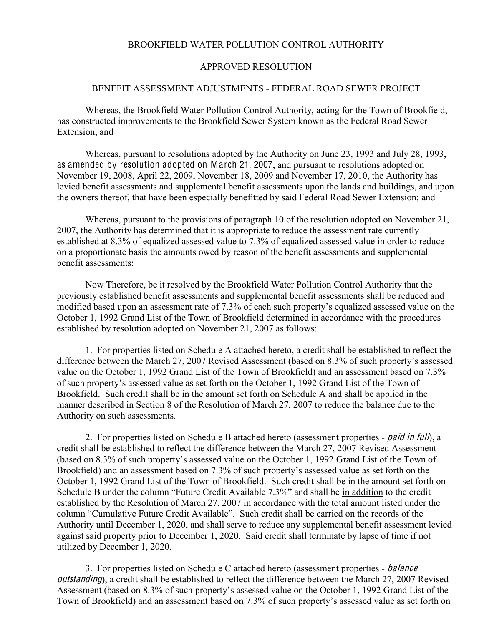### BROOKFIELD WATER POLLUTION CONTROL AUTHORITY

#### APPROVED RESOLUTION

### BENEFIT ASSESSMENT ADJUSTMENTS - FEDERAL ROAD SEWER PROJECT

Whereas, the Brookfield Water Pollution Control Authority, acting for the Town of Brookfield, has constructed improvements to the Brookfield Sewer System known as the Federal Road Sewer Extension, and

Whereas, pursuant to resolutions adopted by the Authority on June 23, 1993 and July 28, 1993, as amended by resolution adopted on March 21, 2007, and pursuant to resolutions adopted on November 19, 2008, April 22, 2009, November 18, 2009 and November 17, 2010, the Authority has levied benefit assessments and supplemental benefit assessments upon the lands and buildings, and upon the owners thereof, that have been especially benefitted by said Federal Road Sewer Extension; and

Whereas, pursuant to the provisions of paragraph 10 of the resolution adopted on November 21, 2007, the Authority has determined that it is appropriate to reduce the assessment rate currently established at 8.3% of equalized assessed value to 7.3% of equalized assessed value in order to reduce on a proportionate basis the amounts owed by reason of the benefit assessments and supplemental benefit assessments:

Now Therefore, be it resolved by the Brookfield Water Pollution Control Authority that the previously established benefit assessments and supplemental benefit assessments shall be reduced and modified based upon an assessment rate of 7.3% of each such property's equalized assessed value on the October 1, 1992 Grand List of the Town of Brookfield determined in accordance with the procedures established by resolution adopted on November 21, 2007 as follows:

1. For properties listed on Schedule A attached hereto, a credit shall be established to reflect the difference between the March 27, 2007 Revised Assessment (based on 8.3% of such property's assessed value on the October 1, 1992 Grand List of the Town of Brookfield) and an assessment based on 7.3% of such property's assessed value as set forth on the October 1, 1992 Grand List of the Town of Brookfield. Such credit shall be in the amount set forth on Schedule A and shall be applied in the manner described in Section 8 of the Resolution of March 27, 2007 to reduce the balance due to the Authority on such assessments.

2. For properties listed on Schedule B attached hereto (assessment properties - paid in full), a credit shall be established to reflect the difference between the March 27, 2007 Revised Assessment (based on 8.3% of such property's assessed value on the October 1, 1992 Grand List of the Town of Brookfield) and an assessment based on 7.3% of such property's assessed value as set forth on the October 1, 1992 Grand List of the Town of Brookfield. Such credit shall be in the amount set forth on Schedule B under the column "Future Credit Available 7.3%" and shall be in addition to the credit established by the Resolution of March 27, 2007 in accordance with the total amount listed under the column "Cumulative Future Credit Available". Such credit shall be carried on the records of the Authority until December 1, 2020, and shall serve to reduce any supplemental benefit assessment levied against said property prior to December 1, 2020. Said credit shall terminate by lapse of time if not utilized by December 1, 2020.

3. For properties listed on Schedule C attached hereto (assessment properties - balance outstanding), a credit shall be established to reflect the difference between the March 27, 2007 Revised Assessment (based on 8.3% of such property's assessed value on the October 1, 1992 Grand List of the Town of Brookfield) and an assessment based on 7.3% of such property's assessed value as set forth on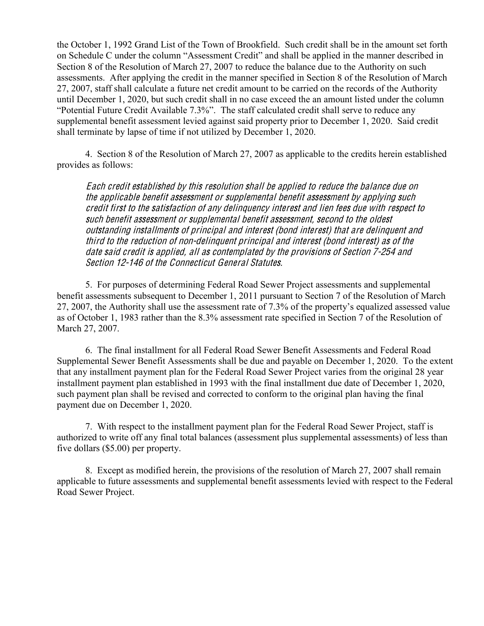the October 1, 1992 Grand List of the Town of Brookfield. Such credit shall be in the amount set forth on Schedule C under the column "Assessment Credit" and shall be applied in the manner described in Section 8 of the Resolution of March 27, 2007 to reduce the balance due to the Authority on such assessments. After applying the credit in the manner specified in Section 8 of the Resolution of March 27, 2007, staff shall calculate a future net credit amount to be carried on the records of the Authority until December 1, 2020, but such credit shall in no case exceed the an amount listed under the column "Potential Future Credit Available 7.3%". The staff calculated credit shall serve to reduce any supplemental benefit assessment levied against said property prior to December 1, 2020. Said credit shall terminate by lapse of time if not utilized by December 1, 2020.

4. Section 8 of the Resolution of March 27, 2007 as applicable to the credits herein established provides as follows:

Each <sup>c</sup>redit <sup>e</sup>stablished by thi<sup>s</sup> <sup>r</sup>esolution <sup>s</sup>hall b<sup>e</sup> applied t<sup>o</sup> <sup>r</sup>educe th<sup>e</sup> balance du<sup>e</sup> on th<sup>e</sup> applicabl<sup>e</sup> benefit <sup>a</sup>ssessment or <sup>s</sup>uppl<sup>e</sup>mental benefit <sup>a</sup>ssessment by applying <sup>s</sup>uch <sup>c</sup>redit first t<sup>o</sup> th<sup>e</sup> <sup>s</sup>atisfaction <sup>o</sup>f any delinqu<sup>e</sup>ncy interest and lie<sup>n</sup> fee<sup>s</sup> du<sup>e</sup> with <sup>r</sup>espect t<sup>o</sup> <sup>s</sup>uch benefit <sup>a</sup>ssessment or <sup>s</sup>uppl<sup>e</sup>mental benefit <sup>a</sup>ssessment, <sup>s</sup>econd t<sup>o</sup> th<sup>e</sup> oldest outstanding installments <sup>o</sup>f principal and interest (bond interest) that ar<sup>e</sup> delinqu<sup>e</sup>nt and third t<sup>o</sup> th<sup>e</sup> <sup>r</sup>eduction <sup>o</sup>f non-delinqu<sup>e</sup>nt principal and interest (bond interest) <sup>a</sup><sup>s</sup> <sup>o</sup>f th<sup>e</sup> dat<sup>e</sup> <sup>s</sup>aid <sup>c</sup>redit i<sup>s</sup> applied, all <sup>a</sup><sup>s</sup> <sup>c</sup>ontemplated by th<sup>e</sup> provision<sup>s</sup> <sup>o</sup>f Section 7-254 and Section 12-146 of the Connecticut General Statutes.

5. For purposes of determining Federal Road Sewer Project assessments and supplemental benefit assessments subsequent to December 1, 2011 pursuant to Section 7 of the Resolution of March 27, 2007, the Authority shall use the assessment rate of 7.3% of the property's equalized assessed value as of October 1, 1983 rather than the 8.3% assessment rate specified in Section 7 of the Resolution of March 27, 2007.

6. The final installment for all Federal Road Sewer Benefit Assessments and Federal Road Supplemental Sewer Benefit Assessments shall be due and payable on December 1, 2020. To the extent that any installment payment plan for the Federal Road Sewer Project varies from the original 28 year installment payment plan established in 1993 with the final installment due date of December 1, 2020, such payment plan shall be revised and corrected to conform to the original plan having the final payment due on December 1, 2020.

7. With respect to the installment payment plan for the Federal Road Sewer Project, staff is authorized to write off any final total balances (assessment plus supplemental assessments) of less than five dollars (\$5.00) per property.

8. Except as modified herein, the provisions of the resolution of March 27, 2007 shall remain applicable to future assessments and supplemental benefit assessments levied with respect to the Federal Road Sewer Project.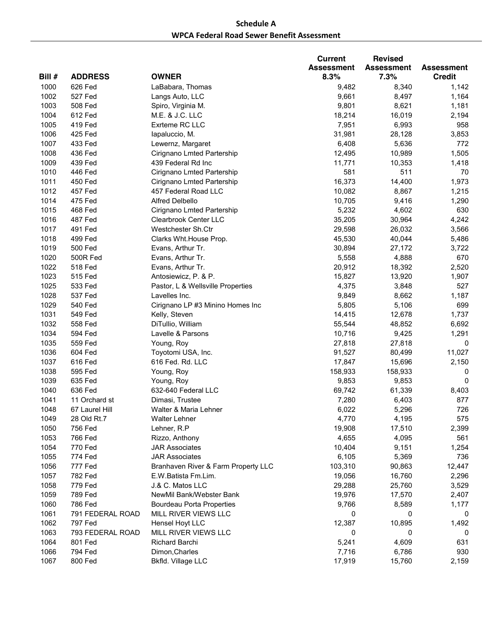## **Schedule A** WPCA Federal Road Sewer Benefit Assessment

|        |                  |                                     | <b>Current</b>    | <b>Revised</b>    |                   |
|--------|------------------|-------------------------------------|-------------------|-------------------|-------------------|
|        |                  |                                     | <b>Assessment</b> | <b>Assessment</b> | <b>Assessment</b> |
| Bill # | <b>ADDRESS</b>   | <b>OWNER</b>                        | 8.3%              | 7.3%              | <b>Credit</b>     |
| 1000   | 626 Fed          | LaBabara, Thomas                    | 9,482             | 8,340             | 1,142             |
| 1002   | 527 Fed          | Langs Auto, LLC                     | 9,661             | 8,497             | 1,164             |
| 1003   | 508 Fed          | Spiro, Virginia M.                  | 9,801             | 8,621             | 1,181             |
| 1004   | 612 Fed          | M.E. & J.C. LLC                     | 18,214            | 16,019            | 2,194             |
| 1005   | 419 Fed          | Exrteme RC LLC                      | 7,951             | 6,993             | 958               |
| 1006   | 425 Fed          | lapaluccio, M.                      | 31,981            | 28,128            | 3,853             |
| 1007   | 433 Fed          | Lewernz, Margaret                   | 6,408             | 5,636             | 772               |
| 1008   | 436 Fed          | Cirignano Lmted Partership          | 12,495            | 10,989            | 1,505             |
| 1009   | 439 Fed          | 439 Federal Rd Inc                  | 11,771            | 10,353            | 1,418             |
| 1010   | 446 Fed          | Cirignano Lmted Partership          | 581               | 511               | 70                |
| 1011   | 450 Fed          | Cirignano Lmted Partership          | 16,373            | 14,400            | 1,973             |
| 1012   | 457 Fed          | 457 Federal Road LLC                | 10,082            | 8,867             | 1,215             |
| 1014   | 475 Fed          | Alfred Delbello                     | 10,705            | 9,416             | 1,290             |
| 1015   | 468 Fed          | Cirignano Lmted Partership          | 5,232             | 4,602             | 630               |
| 1016   | 487 Fed          | Clearbrook Center LLC               | 35,205            | 30,964            | 4,242             |
| 1017   | 491 Fed          | Westchester Sh.Ctr                  | 29,598            | 26,032            | 3,566             |
| 1018   | 499 Fed          | Clarks Wht. House Prop.             | 45,530            | 40,044            | 5,486             |
| 1019   | 500 Fed          | Evans, Arthur Tr.                   | 30,894            | 27,172            | 3,722             |
| 1020   | 500R Fed         | Evans, Arthur Tr.                   | 5,558             | 4,888             | 670               |
| 1022   | <b>518 Fed</b>   | Evans, Arthur Tr.                   | 20,912            | 18,392            | 2,520             |
| 1023   | 515 Fed          | Antosiewicz, P. & P.                | 15,827            | 13,920            | 1,907             |
| 1025   | 533 Fed          | Pastor, L & Wellsville Properties   | 4,375             | 3,848             | 527               |
| 1028   | 537 Fed          | Lavelles Inc.                       | 9,849             | 8,662             | 1,187             |
| 1029   | 540 Fed          | Cirignano LP #3 Minino Homes Inc    | 5,805             | 5,106             | 699               |
| 1031   | 549 Fed          | Kelly, Steven                       | 14,415            | 12,678            | 1,737             |
| 1032   | 558 Fed          | DiTullio, William                   | 55,544            | 48,852            | 6,692             |
| 1034   | 594 Fed          | Lavelle & Parsons                   | 10,716            | 9,425             | 1,291             |
| 1035   | 559 Fed          | Young, Roy                          | 27,818            | 27,818            | 0                 |
| 1036   | 604 Fed          | Toyotomi USA, Inc.                  | 91,527            | 80,499            | 11,027            |
| 1037   | 616 Fed          | 616 Fed. Rd. LLC                    | 17,847            | 15,696            | 2,150             |
| 1038   | 595 Fed          | Young, Roy                          | 158,933           | 158,933           | 0                 |
| 1039   | 635 Fed          | Young, Roy                          | 9,853             | 9,853             | 0                 |
| 1040   | 636 Fed          | 632-640 Federal LLC                 | 69,742            | 61,339            | 8,403             |
| 1041   | 11 Orchard st    | Dimasi, Trustee                     | 7,280             | 6,403             | 877               |
| 1048   | 67 Laurel Hill   | Walter & Maria Lehner               | 6,022             | 5,296             | 726               |
| 1049   | 28 Old Rt.7      | <b>Walter Lehner</b>                | 4,770             | 4,195             | 575               |
| 1050   | 756 Fed          | Lehner, R.P                         | 19,908            | 17,510            | 2,399             |
| 1053   | 766 Fed          | Rizzo, Anthony                      | 4,655             | 4,095             | 561               |
| 1054   | 770 Fed          | <b>JAR Associates</b>               | 10,404            | 9,151             | 1,254             |
| 1055   | 774 Fed          | <b>JAR Associates</b>               | 6,105             | 5,369             | 736               |
| 1056   | 777 Fed          | Branhaven River & Farm Property LLC | 103,310           | 90,863            | 12,447            |
| 1057   | 782 Fed          | E.W. Batista Fm.Lim.                | 19,056            | 16,760            | 2,296             |
| 1058   | 779 Fed          | J.& C. Matos LLC                    | 29,288            | 25,760            | 3,529             |
| 1059   | 789 Fed          | NewMil Bank/Webster Bank            | 19,976            | 17,570            | 2,407             |
| 1060   | 786 Fed          | <b>Bourdeau Porta Properties</b>    | 9,766             | 8,589             | 1,177             |
| 1061   | 791 FEDERAL ROAD | MILL RIVER VIEWS LLC                | 0                 | 0                 | 0                 |
| 1062   | 797 Fed          | Hensel Hoyt LLC                     | 12,387            | 10,895            | 1,492             |
| 1063   | 793 FEDERAL ROAD | MILL RIVER VIEWS LLC                | 0                 | 0                 | 0                 |
| 1064   | 801 Fed          | Richard Barchi                      | 5,241             | 4,609             | 631               |
| 1066   | 794 Fed          | Dimon, Charles                      | 7,716             | 6,786             | 930               |
| 1067   | 800 Fed          | Bkfld. Village LLC                  | 17,919            | 15,760            | 2,159             |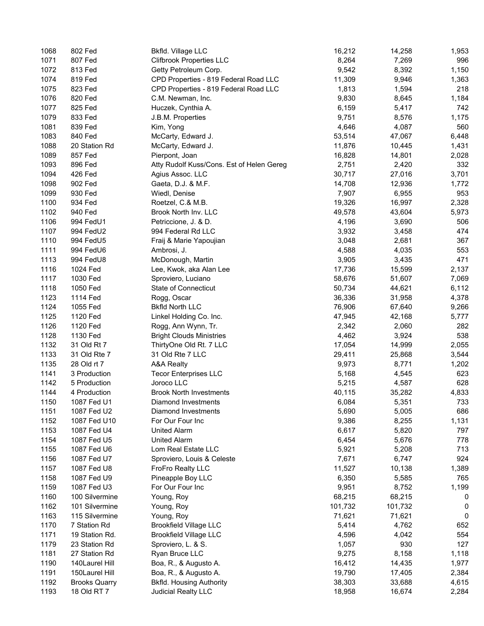| 1068 | 802 Fed              | Bkfld. Village LLC                        | 16,212  | 14,258  | 1,953 |
|------|----------------------|-------------------------------------------|---------|---------|-------|
| 1071 | 807 Fed              | <b>Clifbrook Properties LLC</b>           | 8,264   | 7,269   | 996   |
| 1072 | 813 Fed              | Getty Petroleum Corp.                     | 9,542   | 8,392   | 1,150 |
| 1074 | 819 Fed              | CPD Properties - 819 Federal Road LLC     | 11,309  | 9,946   | 1,363 |
| 1075 | 823 Fed              | CPD Properties - 819 Federal Road LLC     | 1,813   | 1,594   | 218   |
| 1076 | 820 Fed              | C.M. Newman, Inc.                         | 9,830   | 8,645   | 1,184 |
| 1077 | 825 Fed              | Huczek, Cynthia A.                        | 6,159   | 5,417   | 742   |
|      |                      |                                           |         |         |       |
| 1079 | 833 Fed              | J.B.M. Properties                         | 9,751   | 8,576   | 1,175 |
| 1081 | 839 Fed              | Kim, Yong                                 | 4,646   | 4,087   | 560   |
| 1083 | 840 Fed              | McCarty, Edward J.                        | 53,514  | 47,067  | 6,448 |
| 1088 | 20 Station Rd        | McCarty, Edward J.                        | 11,876  | 10,445  | 1,431 |
| 1089 | 857 Fed              | Pierpont, Joan                            | 16,828  | 14,801  | 2,028 |
| 1093 | 896 Fed              | Atty Rudolf Kuss/Cons. Est of Helen Gereg | 2,751   | 2,420   | 332   |
| 1094 | 426 Fed              | Agius Assoc. LLC                          | 30,717  | 27,016  | 3,701 |
| 1098 | 902 Fed              | Gaeta, D.J. & M.F.                        | 14,708  | 12,936  | 1,772 |
| 1099 | 930 Fed              | Wiedl, Denise                             | 7,907   | 6,955   | 953   |
| 1100 | 934 Fed              | Roetzel, C.& M.B.                         | 19,326  | 16,997  | 2,328 |
| 1102 | 940 Fed              | Brook North Inv. LLC                      | 49,578  | 43,604  | 5,973 |
| 1106 | 994 FedU1            | Petriccione, J. & D.                      | 4,196   | 3,690   | 506   |
| 1107 | 994 FedU2            | 994 Federal Rd LLC                        | 3,932   | 3,458   | 474   |
| 1110 | 994 FedU5            | Fraij & Marie Yapoujian                   | 3,048   | 2,681   | 367   |
| 1111 | 994 FedU6            | Ambrosi, J.                               | 4,588   | 4,035   | 553   |
| 1113 | 994 FedU8            | McDonough, Martin                         | 3,905   | 3,435   | 471   |
| 1116 | 1024 Fed             | Lee, Kwok, aka Alan Lee                   | 17,736  | 15,599  | 2,137 |
|      |                      |                                           |         |         |       |
| 1117 | 1030 Fed             | Sproviero, Luciano                        | 58,676  | 51,607  | 7,069 |
| 1118 | 1050 Fed             | State of Connecticut                      | 50,734  | 44,621  | 6,112 |
| 1123 | 1114 Fed             | Rogg, Oscar                               | 36,336  | 31,958  | 4,378 |
| 1124 | 1055 Fed             | <b>Bkfld North LLC</b>                    | 76,906  | 67,640  | 9,266 |
| 1125 | 1120 Fed             | Linkel Holding Co. Inc.                   | 47,945  | 42,168  | 5,777 |
| 1126 | 1120 Fed             | Rogg, Ann Wynn, Tr.                       | 2,342   | 2,060   | 282   |
| 1128 | 1130 Fed             | <b>Bright Clouds Ministries</b>           | 4,462   | 3,924   | 538   |
| 1132 | 31 Old Rt 7          | ThirtyOne Old Rt. 7 LLC                   | 17,054  | 14,999  | 2,055 |
| 1133 | 31 Old Rte 7         | 31 Old Rte 7 LLC                          | 29,411  | 25,868  | 3,544 |
| 1135 | 28 Old rt 7          | A&A Realty                                | 9,973   | 8,771   | 1,202 |
| 1141 | 3 Production         | <b>Tecor Enterprises LLC</b>              | 5,168   | 4,545   | 623   |
| 1142 | 5 Production         | Joroco LLC                                | 5,215   | 4,587   | 628   |
| 1144 | 4 Production         | <b>Brook North Investments</b>            | 40,115  | 35,282  | 4,833 |
| 1150 | 1087 Fed U1          | Diamond Investments                       | 6,084   | 5,351   | 733   |
| 1151 | 1087 Fed U2          | Diamond Investments                       | 5,690   | 5,005   | 686   |
| 1152 | 1087 Fed U10         | For Our Four Inc                          | 9,386   | 8,255   | 1,131 |
| 1153 | 1087 Fed U4          | <b>United Alarm</b>                       | 6,617   | 5,820   | 797   |
| 1154 | 1087 Fed U5          | <b>United Alarm</b>                       | 6,454   | 5,676   | 778   |
| 1155 | 1087 Fed U6          | Lom Real Estate LLC                       | 5,921   | 5,208   | 713   |
|      |                      |                                           |         |         |       |
| 1156 | 1087 Fed U7          | Sproviero, Louis & Celeste                | 7,671   | 6,747   | 924   |
| 1157 | 1087 Fed U8          | FroFro Realty LLC                         | 11,527  | 10,138  | 1,389 |
| 1158 | 1087 Fed U9          | Pineapple Boy LLC                         | 6,350   | 5,585   | 765   |
| 1159 | 1087 Fed U3          | For Our Four Inc                          | 9,951   | 8,752   | 1,199 |
| 1160 | 100 Silvermine       | Young, Roy                                | 68,215  | 68,215  | 0     |
| 1162 | 101 Silvermine       | Young, Roy                                | 101,732 | 101,732 | 0     |
| 1163 | 115 Silvermine       | Young, Roy                                | 71,621  | 71,621  | 0     |
| 1170 | 7 Station Rd         | <b>Brookfield Village LLC</b>             | 5,414   | 4,762   | 652   |
| 1171 | 19 Station Rd.       | <b>Brookfield Village LLC</b>             | 4,596   | 4,042   | 554   |
| 1179 | 23 Station Rd        | Sproviero, L. & S.                        | 1,057   | 930     | 127   |
| 1181 | 27 Station Rd        | Ryan Bruce LLC                            | 9,275   | 8,158   | 1,118 |
| 1190 | 140Laurel Hill       | Boa, R., & Augusto A.                     | 16,412  | 14,435  | 1,977 |
| 1191 | 150Laurel Hill       | Boa, R., & Augusto A.                     | 19,790  | 17,405  | 2,384 |
| 1192 | <b>Brooks Quarry</b> | <b>Bkfld. Housing Authority</b>           | 38,303  | 33,688  | 4,615 |
| 1193 | 18 Old RT 7          | Judicial Realty LLC                       | 18,958  | 16,674  | 2,284 |
|      |                      |                                           |         |         |       |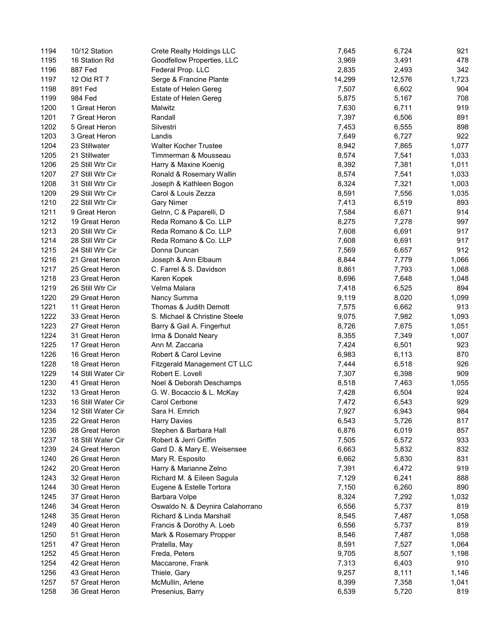| 1194 | 10/12 Station      | Crete Realty Holdings LLC        | 7,645  | 6,724  | 921   |
|------|--------------------|----------------------------------|--------|--------|-------|
| 1195 | 16 Station Rd      | Goodfellow Properties, LLC       | 3,969  | 3,491  | 478   |
| 1196 | 887 Fed            | Federal Prop. LLC                | 2,835  | 2,493  | 342   |
| 1197 | 12 Old RT 7        | Serge & Francine Plante          | 14,299 | 12,576 | 1,723 |
| 1198 | 891 Fed            | Estate of Helen Gereg            | 7,507  | 6,602  | 904   |
| 1199 | 984 Fed            | Estate of Helen Gereg            | 5,875  | 5,167  | 708   |
| 1200 | 1 Great Heron      | Malwitz                          | 7,630  | 6,711  | 919   |
| 1201 | 7 Great Heron      | Randall                          | 7,397  | 6,506  | 891   |
| 1202 | 5 Great Heron      | Silvestri                        | 7,453  | 6,555  | 898   |
| 1203 | 3 Great Heron      | Landis                           | 7,649  | 6,727  | 922   |
| 1204 | 23 Stillwater      | <b>Walter Kocher Trustee</b>     | 8,942  | 7,865  | 1,077 |
| 1205 | 21 Stillwater      | Timmerman & Mousseau             | 8,574  | 7,541  | 1,033 |
| 1206 | 25 Still Wtr Cir   | Harry & Maxine Koenig            | 8,392  | 7,381  | 1,011 |
| 1207 | 27 Still Wtr Cir   | Ronald & Rosemary Wallin         | 8,574  | 7,541  | 1,033 |
| 1208 | 31 Still Wtr Cir   | Joseph & Kathleen Bogon          | 8,324  | 7,321  | 1,003 |
| 1209 | 29 Still Wtr Cir   | Carol & Louis Zezza              | 8,591  | 7,556  | 1,035 |
| 1210 | 22 Still Wtr Cir   | <b>Gary Nimer</b>                | 7,413  | 6,519  | 893   |
| 1211 | 9 Great Heron      | Gelnn, C & Paparelli, D          | 7,584  | 6,671  | 914   |
| 1212 | 19 Great Heron     | Reda Romano & Co. LLP            | 8,275  | 7,278  | 997   |
| 1213 |                    | Reda Romano & Co. LLP            |        | 6,691  | 917   |
|      | 20 Still Wtr Cir   |                                  | 7,608  |        |       |
| 1214 | 28 Still Wtr Cir   | Reda Romano & Co. LLP            | 7,608  | 6,691  | 917   |
| 1215 | 24 Still Wtr Cir   | Donna Duncan                     | 7,569  | 6,657  | 912   |
| 1216 | 21 Great Heron     | Joseph & Ann Elbaum              | 8,844  | 7,779  | 1,066 |
| 1217 | 25 Great Heron     | C. Farrel & S. Davidson          | 8,861  | 7,793  | 1,068 |
| 1218 | 23 Great Heron     | Karen Kopek                      | 8,696  | 7,648  | 1,048 |
| 1219 | 26 Still Wtr Cir   | Velma Malara                     | 7,418  | 6,525  | 894   |
| 1220 | 29 Great Heron     | Nancy Summa                      | 9,119  | 8,020  | 1,099 |
| 1221 | 11 Great Heron     | Thomas & Judith Demott           | 7,575  | 6,662  | 913   |
| 1222 | 33 Great Heron     | S. Michael & Christine Steele    | 9,075  | 7,982  | 1,093 |
| 1223 | 27 Great Heron     | Barry & Gail A. Fingerhut        | 8,726  | 7,675  | 1,051 |
| 1224 | 31 Great Heron     | Irma & Donald Neary              | 8,355  | 7,349  | 1,007 |
| 1225 | 17 Great Heron     | Ann M. Zaccaria                  | 7,424  | 6,501  | 923   |
| 1226 | 16 Great Heron     | Robert & Carol Levine            | 6,983  | 6,113  | 870   |
| 1228 | 18 Great Heron     | Fitzgerald Management CT LLC     | 7,444  | 6,518  | 926   |
| 1229 | 14 Still Water Cir | Robert E. Lovell                 | 7,307  | 6,398  | 909   |
| 1230 | 41 Great Heron     | Noel & Deborah Deschamps         | 8,518  | 7,463  | 1,055 |
| 1232 | 13 Great Heron     | G. W. Bocaccio & L. McKay        | 7,428  | 6,504  | 924   |
| 1233 | 16 Still Water Cir | Carol Cerbone                    | 7,472  | 6,543  | 929   |
| 1234 | 12 Still Water Cir | Sara H. Emrich                   | 7,927  | 6,943  | 984   |
| 1235 | 22 Great Heron     | <b>Harry Davies</b>              | 6,543  | 5,726  | 817   |
| 1236 | 28 Great Heron     | Stephen & Barbara Hall           | 6,876  | 6,019  | 857   |
| 1237 | 18 Still Water Cir | Robert & Jerri Griffin           | 7,505  | 6,572  | 933   |
| 1239 | 24 Great Heron     | Gard D. & Mary E. Weisensee      | 6,663  | 5,832  | 832   |
| 1240 | 26 Great Heron     | Mary R. Esposito                 | 6,662  | 5,830  | 831   |
| 1242 | 20 Great Heron     | Harry & Marianne Zelno           | 7,391  | 6,472  | 919   |
| 1243 | 32 Great Heron     | Richard M. & Eileen Sagula       | 7,129  | 6,241  | 888   |
| 1244 | 30 Great Heron     | Eugene & Estelle Tortora         | 7,150  | 6,260  | 890   |
| 1245 | 37 Great Heron     | Barbara Volpe                    | 8,324  | 7,292  | 1,032 |
| 1246 | 34 Great Heron     | Oswaldo N. & Deynira Calahorrano | 6,556  | 5,737  | 819   |
| 1248 | 35 Great Heron     | Richard & Linda Marshall         | 8,545  | 7,487  | 1,058 |
| 1249 | 40 Great Heron     | Francis & Dorothy A. Loeb        | 6,556  | 5,737  | 819   |
| 1250 | 51 Great Heron     | Mark & Rosemary Propper          | 8,546  | 7,487  | 1,058 |
| 1251 | 47 Great Heron     | Pratella, May                    | 8,591  | 7,527  | 1,064 |
| 1252 | 45 Great Heron     | Freda, Peters                    | 9,705  | 8,507  | 1,198 |
| 1254 | 42 Great Heron     | Maccarone, Frank                 | 7,313  | 6,403  | 910   |
| 1256 | 43 Great Heron     | Thiele, Gary                     | 9,257  | 8,111  | 1,146 |
| 1257 | 57 Great Heron     | McMullin, Arlene                 | 8,399  | 7,358  | 1,041 |
| 1258 | 36 Great Heron     | Presenius, Barry                 | 6,539  | 5,720  | 819   |
|      |                    |                                  |        |        |       |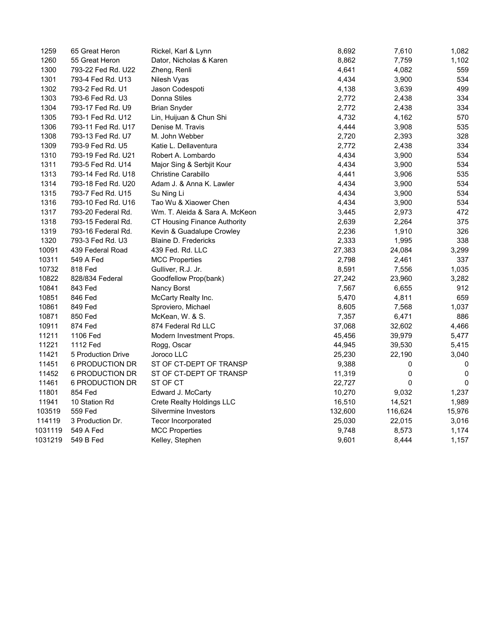| 1259    | 65 Great Heron     | Rickel, Karl & Lynn            | 8,692   | 7,610   | 1,082        |
|---------|--------------------|--------------------------------|---------|---------|--------------|
| 1260    | 55 Great Heron     | Dator, Nicholas & Karen        | 8,862   | 7,759   | 1,102        |
| 1300    | 793-22 Fed Rd. U22 | Zheng, Renli                   | 4,641   | 4,082   | 559          |
| 1301    | 793-4 Fed Rd. U13  | Nilesh Vyas                    | 4,434   | 3,900   | 534          |
| 1302    | 793-2 Fed Rd. U1   | Jason Codespoti                | 4,138   | 3,639   | 499          |
| 1303    | 793-6 Fed Rd. U3   | Donna Stiles                   | 2,772   | 2,438   | 334          |
| 1304    | 793-17 Fed Rd. U9  | <b>Brian Snyder</b>            | 2,772   | 2,438   | 334          |
| 1305    | 793-1 Fed Rd. U12  | Lin, Huijuan & Chun Shi        | 4,732   | 4,162   | 570          |
| 1306    | 793-11 Fed Rd. U17 | Denise M. Travis               | 4,444   | 3,908   | 535          |
| 1308    | 793-13 Fed Rd. U7  | M. John Webber                 | 2,720   | 2,393   | 328          |
| 1309    | 793-9 Fed Rd. U5   | Katie L. Dellaventura          | 2,772   | 2,438   | 334          |
| 1310    | 793-19 Fed Rd. U21 | Robert A. Lombardo             | 4,434   | 3,900   | 534          |
| 1311    | 793-5 Fed Rd. U14  | Major Sing & Serbjit Kour      | 4,434   | 3,900   | 534          |
| 1313    | 793-14 Fed Rd. U18 | Christine Carabillo            | 4,441   | 3,906   | 535          |
| 1314    | 793-18 Fed Rd. U20 | Adam J. & Anna K. Lawler       | 4,434   | 3,900   | 534          |
| 1315    | 793-7 Fed Rd. U15  | Su Ning Li                     | 4,434   | 3,900   | 534          |
| 1316    | 793-10 Fed Rd. U16 | Tao Wu & Xiaower Chen          | 4,434   | 3,900   | 534          |
| 1317    | 793-20 Federal Rd. | Wm. T. Aleida & Sara A. McKeon | 3,445   | 2,973   | 472          |
| 1318    | 793-15 Federal Rd. | CT Housing Finance Authority   | 2,639   | 2,264   | 375          |
| 1319    | 793-16 Federal Rd. | Kevin & Guadalupe Crowley      | 2,236   | 1,910   | 326          |
| 1320    | 793-3 Fed Rd. U3   | <b>Blaine D. Fredericks</b>    | 2,333   | 1,995   | 338          |
| 10091   | 439 Federal Road   | 439 Fed. Rd. LLC               | 27,383  | 24,084  | 3,299        |
| 10311   | 549 A Fed          | <b>MCC Properties</b>          | 2,798   | 2,461   | 337          |
| 10732   | 818 Fed            | Gulliver, R.J. Jr.             | 8,591   | 7,556   | 1,035        |
| 10822   | 828/834 Federal    | Goodfellow Prop(bank)          | 27,242  | 23,960  | 3,282        |
| 10841   | 843 Fed            | Nancy Borst                    | 7,567   | 6,655   | 912          |
| 10851   | 846 Fed            | McCarty Realty Inc.            | 5,470   | 4,811   | 659          |
| 10861   | 849 Fed            | Sproviero, Michael             | 8,605   | 7,568   | 1,037        |
| 10871   | 850 Fed            | McKean, W. & S.                | 7,357   | 6,471   | 886          |
| 10911   | 874 Fed            | 874 Federal Rd LLC             | 37,068  | 32,602  | 4,466        |
| 11211   | 1106 Fed           | Modern Investment Props.       | 45,456  | 39,979  | 5,477        |
| 11221   | 1112 Fed           | Rogg, Oscar                    | 44,945  | 39,530  | 5,415        |
| 11421   | 5 Production Drive | Joroco LLC                     | 25,230  | 22,190  | 3,040        |
| 11451   | 6 PRODUCTION DR    | ST OF CT-DEPT OF TRANSP        | 9,388   | 0       | 0            |
| 11452   | 6 PRODUCTION DR    | ST OF CT-DEPT OF TRANSP        | 11,319  | 0       | $\Omega$     |
| 11461   | 6 PRODUCTION DR    | ST OF CT                       | 22,727  | 0       | $\mathbf{0}$ |
| 11801   | 854 Fed            | Edward J. McCarty              | 10,270  | 9,032   | 1,237        |
| 11941   | 10 Station Rd      | Crete Realty Holdings LLC      | 16,510  | 14,521  | 1,989        |
| 103519  | 559 Fed            | Silvermine Investors           | 132,600 | 116,624 | 15,976       |
| 114119  | 3 Production Dr.   | Tecor Incorporated             | 25,030  | 22,015  | 3,016        |
| 1031119 | 549 A Fed          | <b>MCC Properties</b>          | 9,748   | 8,573   | 1,174        |
| 1031219 | 549 B Fed          | Kelley, Stephen                | 9,601   | 8,444   | 1,157        |
|         |                    |                                |         |         |              |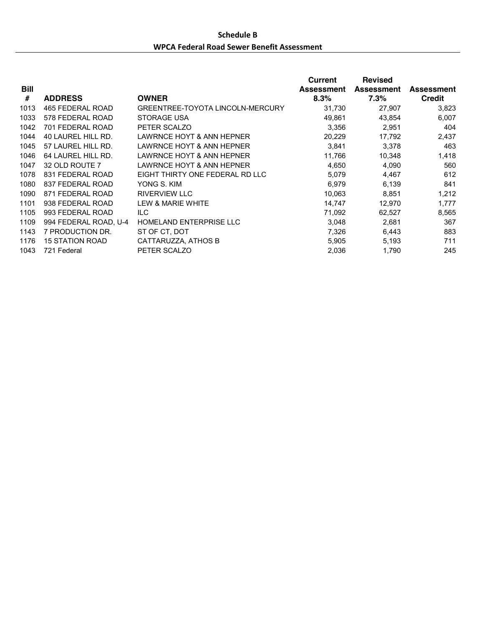# **Schedule B** WPCA Federal Road Sewer Benefit Assessment

| Bill |                        |                                  | Current<br><b>Assessment</b> | <b>Revised</b><br><b>Assessment</b> | <b>Assessment</b> |
|------|------------------------|----------------------------------|------------------------------|-------------------------------------|-------------------|
| #    | <b>ADDRESS</b>         | <b>OWNER</b>                     | 8.3%                         | 7.3%                                | <b>Credit</b>     |
| 1013 | 465 FEDERAL ROAD       | GREENTREE-TOYOTA LINCOLN-MERCURY | 31,730                       | 27,907                              | 3,823             |
| 1033 | 578 FEDERAL ROAD       | <b>STORAGE USA</b>               | 49,861                       | 43,854                              | 6,007             |
| 1042 | 701 FEDERAL ROAD       | PETER SCALZO                     | 3.356                        | 2,951                               | 404               |
| 1044 | 40 LAUREL HILL RD.     | LAWRNCE HOYT & ANN HEPNER        | 20,229                       | 17,792                              | 2,437             |
| 1045 | 57 LAUREL HILL RD.     | LAWRNCE HOYT & ANN HEPNER        | 3,841                        | 3,378                               | 463               |
| 1046 | 64 LAUREL HILL RD.     | LAWRNCE HOYT & ANN HEPNER        | 11,766                       | 10,348                              | 1,418             |
| 1047 | 32 OLD ROUTE 7         | LAWRNCE HOYT & ANN HEPNER        | 4,650                        | 4,090                               | 560               |
| 1078 | 831 FEDERAL ROAD       | EIGHT THIRTY ONE FEDERAL RD LLC  | 5,079                        | 4,467                               | 612               |
| 1080 | 837 FEDERAL ROAD       | YONG S. KIM                      | 6,979                        | 6,139                               | 841               |
| 1090 | 871 FEDERAL ROAD       | <b>RIVERVIEW LLC</b>             | 10,063                       | 8,851                               | 1,212             |
| 1101 | 938 FEDERAL ROAD       | LEW & MARIE WHITE                | 14,747                       | 12,970                              | 1,777             |
| 1105 | 993 FEDERAL ROAD       | ILC.                             | 71,092                       | 62,527                              | 8,565             |
| 1109 | 994 FEDERAL ROAD, U-4  | <b>HOMELAND ENTERPRISE LLC</b>   | 3,048                        | 2,681                               | 367               |
| 1143 | 7 PRODUCTION DR.       | ST OF CT, DOT                    | 7,326                        | 6,443                               | 883               |
| 1176 | <b>15 STATION ROAD</b> | CATTARUZZA, ATHOS B              | 5,905                        | 5,193                               | 711               |
| 1043 | 721 Federal            | PETER SCALZO                     | 2,036                        | 1,790                               | 245               |